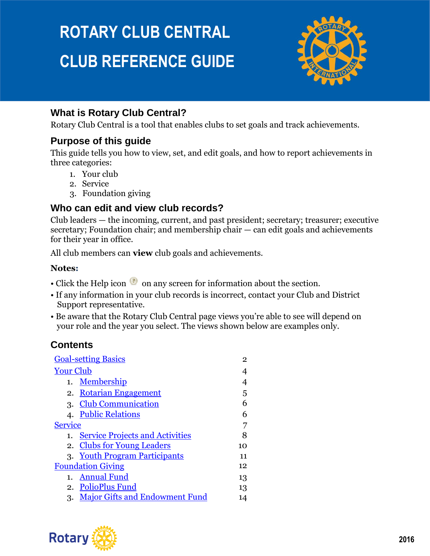# **ROTARY CLUB CENTRAL CLUB REFERENCE GUIDE**



## **What is Rotary Club Central?**

Rotary Club Central is a tool that enables clubs to set goals and track achievements.

### **Purpose of this guide**

This guide tells you how to view, set, and edit goals, and how to report achievements in three categories:

- 1. Your club
- 2. Service
- 3. Foundation giving

### **Who can edit and view club records?**

Club leaders — the incoming, current, and past president; secretary; treasurer; executive secretary; Foundation chair; and membership chair — can edit goals and achievements for their year in office.

All club members can **view** club goals and achievements.

### **Notes:**

- Click the Help icon  $\bullet$  on any screen for information about the section.
- If any information in your club records is incorrect, contact your Club and District Support representative.
- Be aware that the Rotary Club Central page views you're able to see will depend on your role and the year you select. The views shown below are examples only.

## **Contents**

| <b>Goal-setting Basics</b>                   | 2  |
|----------------------------------------------|----|
| <b>Your Club</b>                             |    |
| Membership<br>1.                             | 4  |
| <b>Rotarian Engagement</b><br>2.             | 5  |
| <b>Club Communication</b><br>3.              | 6  |
| 4. Public Relations                          | 6  |
| Service                                      |    |
| <b>Service Projects and Activities</b><br>1. |    |
| 2. Clubs for Young Leaders                   | 10 |
| 3. Youth Program Participants                | 11 |
| <b>Foundation Giving</b>                     | 12 |
| <b>Annual Fund</b><br>1.                     | 13 |
| 2. PolioPlus Fund                            | 13 |
| <b>Major Gifts and Endowment Fund</b><br>3.  |    |
|                                              |    |

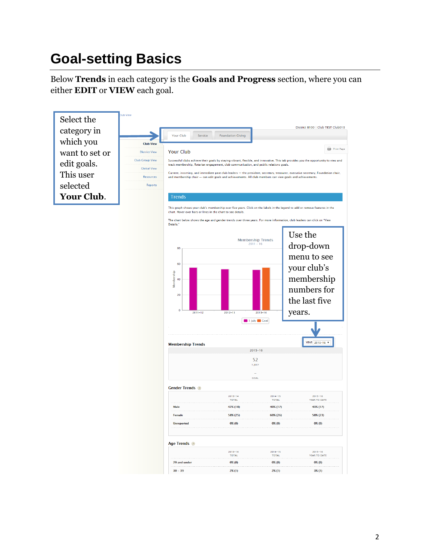# <span id="page-1-0"></span>**Goal-setting Basics**

Below **Trends** in each category is the **Goals and Progress** section, where you can either **EDIT** or **VIEW** each goal.

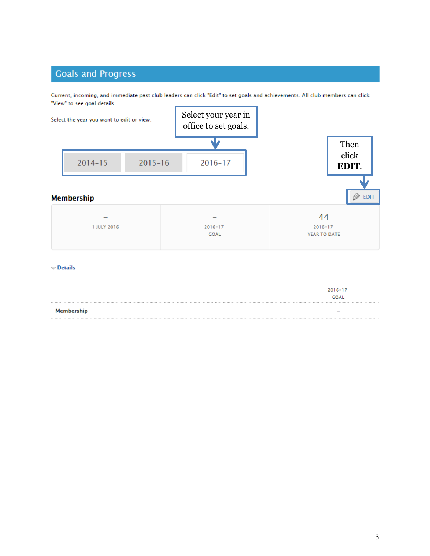## <span id="page-2-0"></span>**Goals and Progress**

Current, incoming, and immediate past club leaders can click "Edit" to set goals and achievements. All club members can click "View" to see goal details.



 $\heartsuit$  Details

|            | $2016 - 17$<br><b>GOAL</b> |
|------------|----------------------------|
| Membership | $\overline{\phantom{0}}$   |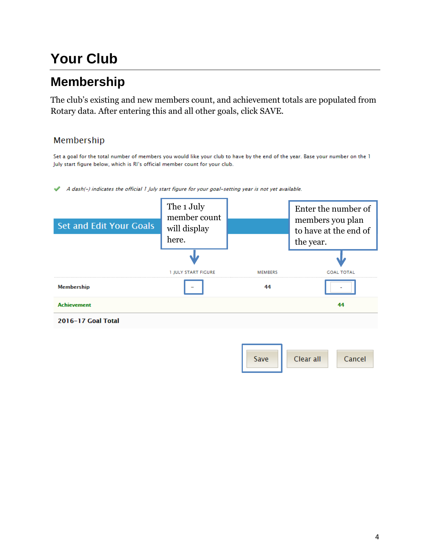# **Your Club**

## <span id="page-3-0"></span>**Membership**

The club's existing and new members count, and achievement totals are populated from Rotary data. After entering this and all other goals, click SAVE.

### Membership

Set a goal for the total number of members you would like your club to have by the end of the year. Base your number on the 1 July start figure below, which is RI's official member count for your club.

A dash(-) indicates the official 1 July start figure for your goal-setting year is not yet available. ৶

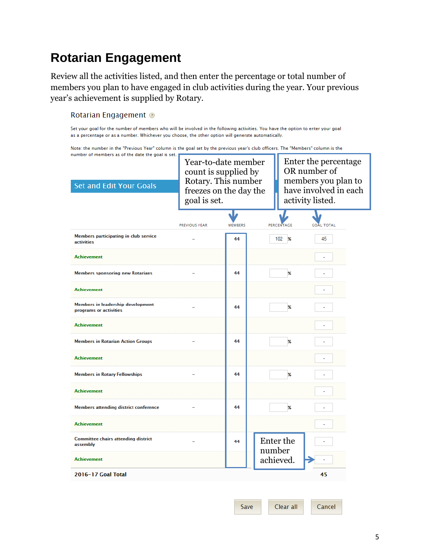## <span id="page-4-0"></span>**Rotarian Engagement**

Review all the activities listed, and then enter the percentage or total number of members you plan to have engaged in club activities during the year. Your previous year's achievement is supplied by Rotary.

### Rotarian Engagement @

Set your goal for the number of members who will be involved in the following activities. You have the option to enter your goal as a percentage or as a number. Whichever you choose, the other option will generate automatically.

Note: the number in the "Previous Year" column is the goal set by the previous year's club officers. The "Members" column is the number of members as of the date the goal is set.

| <b>Set and Edit Your Goals</b>                                     | Year-to-date member<br>count is supplied by<br>Rotary. This number<br>freezes on the day the<br>goal is set. |                | Enter the percentage<br>OR number of<br>members you plan to<br>have involved in each<br>activity listed. |                           |                   |
|--------------------------------------------------------------------|--------------------------------------------------------------------------------------------------------------|----------------|----------------------------------------------------------------------------------------------------------|---------------------------|-------------------|
|                                                                    | <b>PREVIOUS YEAR</b>                                                                                         | <b>MEMBERS</b> |                                                                                                          | PERCENTAGE                | <b>GOAL TOTAL</b> |
| Members participating in club service<br><b>activities</b>         |                                                                                                              | 44             |                                                                                                          | 102<br>$\frac{9}{6}$      | 45                |
| <b>Achievement</b>                                                 |                                                                                                              |                |                                                                                                          |                           |                   |
| <b>Members sponsoring new Rotarians</b>                            |                                                                                                              | 44             |                                                                                                          | $\boldsymbol{\%}$         |                   |
| <b>Achievement</b>                                                 |                                                                                                              |                |                                                                                                          |                           |                   |
| <b>Members in leadership development</b><br>programs or activities |                                                                                                              | 44             |                                                                                                          | $\mathbf{\mathbf{z}}$     |                   |
| <b>Achievement</b>                                                 |                                                                                                              |                |                                                                                                          |                           |                   |
| <b>Members in Rotarian Action Groups</b>                           |                                                                                                              | 44             |                                                                                                          | $\chi$                    |                   |
| <b>Achievement</b>                                                 |                                                                                                              |                |                                                                                                          |                           |                   |
| <b>Members in Rotary Fellowships</b>                               |                                                                                                              | 44             |                                                                                                          | $\chi$                    |                   |
| <b>Achievement</b>                                                 |                                                                                                              |                |                                                                                                          |                           |                   |
| <b>Members attending district conference</b>                       |                                                                                                              | 44             |                                                                                                          | $\boldsymbol{\mathsf{x}}$ |                   |
| <b>Achievement</b>                                                 |                                                                                                              |                |                                                                                                          |                           |                   |
| <b>Committee chairs attending district</b><br>assembly             |                                                                                                              | 44             | number                                                                                                   | Enter the                 |                   |
| <b>Achievement</b>                                                 |                                                                                                              |                |                                                                                                          | achieved.                 |                   |
| 2016-17 Goal Total                                                 |                                                                                                              |                |                                                                                                          |                           | 45                |

Clear all Cancel Save

5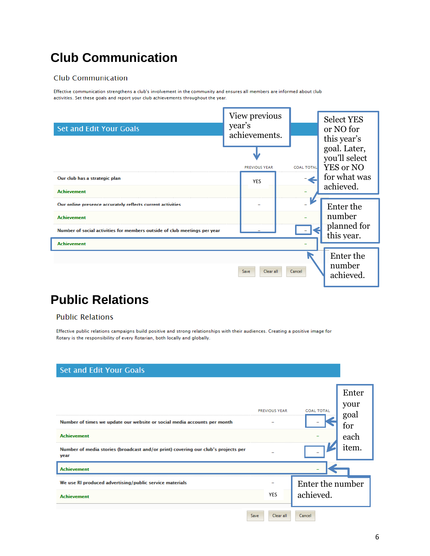## <span id="page-5-0"></span>**Club Communication**

### **Club Communication**

<span id="page-5-1"></span>Effective communication strengthens a club's involvement in the community and ensures all members are informed about club activities. Set these goals and report your club achievements throughout the year.



## **Public Relations**

### **Public Relations**

Effective public relations campaigns build positive and strong relationships with their audiences. Creating a positive image for Rotary is the responsibility of every Rotarian, both locally and globally.

| <b>Set and Edit Your Goals</b>                                                                                                                                                              |                      |                               |                                               |
|---------------------------------------------------------------------------------------------------------------------------------------------------------------------------------------------|----------------------|-------------------------------|-----------------------------------------------|
| Number of times we update our website or social media accounts per month<br><b>Achievement</b><br>Number of media stories (broadcast and/or print) covering our club's projects per<br>year | <b>PREVIOUS YEAR</b> | <b>GOAL TOTAL</b>             | Enter<br>your<br>goal<br>for<br>each<br>item. |
| <b>Achievement</b>                                                                                                                                                                          |                      |                               |                                               |
| We use RI produced advertising/public service materials<br><b>Achievement</b>                                                                                                               | <b>YES</b>           | Enter the number<br>achieved. |                                               |
|                                                                                                                                                                                             | Clear all<br>Save    | Cancel                        |                                               |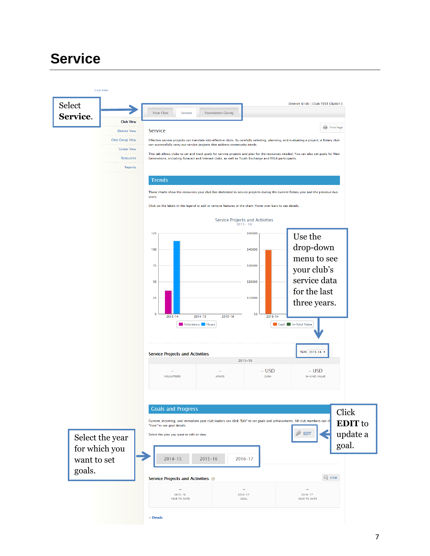## <span id="page-6-0"></span>**Service**

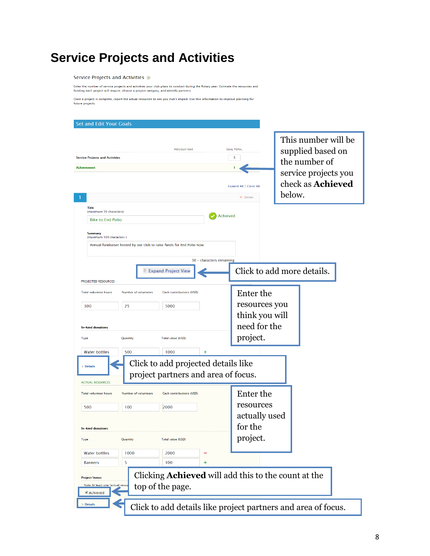## <span id="page-7-0"></span>**Service Projects and Activities**

### Service Projects and Activities

Enter the number of service projects and activities your club plans to conduct during the Rotary year. Estimate the resources and<br>funding each project will require, choose a project category, and identify partners.

Once a project is complete, report the actual resources to see you club's impact. Use this information to improve planning for<br>future projects.

| <b>Set and Edit Your Goals</b>                                                                                                                    |                                                                                                                                                                                                |
|---------------------------------------------------------------------------------------------------------------------------------------------------|------------------------------------------------------------------------------------------------------------------------------------------------------------------------------------------------|
| <b>PREVIOUS YEAR</b><br><b>Service Projects and Activities</b><br>Achievement                                                                     | This number will be<br><b>GOAL TOTAL</b><br>supplied based on<br>5<br>the number of<br>service projects you<br>check as <b>Achieved</b><br>Expand All   Close All<br>below.<br><b>X</b> Delete |
| Title<br>(maximum 50 characters)                                                                                                                  |                                                                                                                                                                                                |
| <b>Bike to End Polio</b>                                                                                                                          | <b>Achieved</b>                                                                                                                                                                                |
| <b>Summary</b><br>(maximum 100 characters)<br>Annual fundraiser hosted by our club to raise funds for End Polio Now.<br>30 - characters remaining |                                                                                                                                                                                                |
| <b>Expand Project View</b>                                                                                                                        | Click to add more details.                                                                                                                                                                     |
| <b>PROJECTED RESOURCES</b>                                                                                                                        |                                                                                                                                                                                                |
| <b>Total volunteer hours</b><br>Number of volunteers<br>Cash contributions (USD)<br>300<br>25<br>5000                                             | Enter the<br>resources you<br>think you will                                                                                                                                                   |
| <b>In-kind donations</b>                                                                                                                          | need for the                                                                                                                                                                                   |
| Total value (USD)<br><b>Type</b><br>Quantity                                                                                                      | project.                                                                                                                                                                                       |
| 1000<br><b>Water bottles</b><br>500<br>+                                                                                                          |                                                                                                                                                                                                |
| Click to add projected details like<br><b>Details</b><br>project partners and area of focus.<br><b>ACTUAL RESOURCES</b>                           |                                                                                                                                                                                                |
| <b>Total volunteer hours</b><br>Number of volunteers<br>Cash contributions (USD)                                                                  | Enter the                                                                                                                                                                                      |
| 500<br>100<br>2000                                                                                                                                | resources                                                                                                                                                                                      |
| <b>In-kind donations</b>                                                                                                                          | actually used<br>for the                                                                                                                                                                       |
| Total value (USD)<br>Quantity<br><b>Type</b>                                                                                                      | project.                                                                                                                                                                                       |
| <b>Water bottles</b><br>1000<br>2000                                                                                                              |                                                                                                                                                                                                |
| 5<br>100<br>$\ddot{}$<br><b>Banners</b>                                                                                                           |                                                                                                                                                                                                |
| <b>Project Status</b><br>Note: At least one "actual resou<br>top of the page.<br>Achieved<br><b>Details</b>                                       | Clicking <b>Achieved</b> will add this to the count at the<br>Click to add details like project partners and area of focus.                                                                    |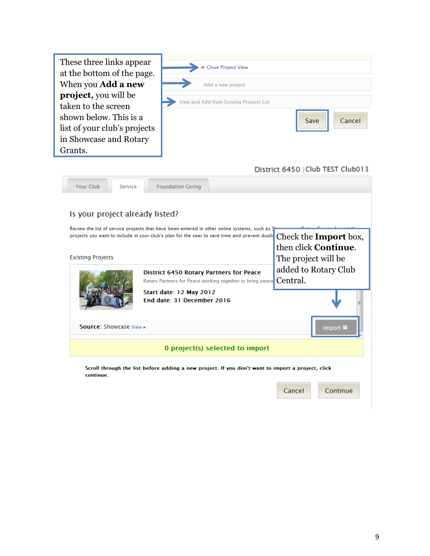| When you Add a new<br><b>project</b> , you will be<br>taken to the screen<br>shown below. This is a<br>list of your club's projects<br>in Showcase and Rotary<br>Grants.<br>Your Club<br>Service | Add a new project<br>View and Add from Existing Projects List<br><b>Foundation Giving</b>                                                                                                                                                                                                                                                                              | Save<br>Cancel<br>District 6450   Club TEST Club013                                                             |
|--------------------------------------------------------------------------------------------------------------------------------------------------------------------------------------------------|------------------------------------------------------------------------------------------------------------------------------------------------------------------------------------------------------------------------------------------------------------------------------------------------------------------------------------------------------------------------|-----------------------------------------------------------------------------------------------------------------|
| Is your project already listed?<br><b>Existing Projects</b>                                                                                                                                      | Review the list of service projects that have been entered in other online systems, such as §<br>projects you want to include in your club's plan for the year to save time and prevent duplid<br><b>District 6450 Rotary Partners for Peace</b><br>Rotary Partners for Peace working together to bring peace<br>Start date: 12 May 2012<br>End date: 31 December 2016 | Check the <b>Import</b> box,<br>then click Continue.<br>The project will be<br>added to Rotary Club<br>Central. |

0 project(s) selected to import

Source: Showcase View

Scroll through the list before adding a new project. If you don't want to import a project, click continue.

| Cancel | Continue |
|--------|----------|
|--------|----------|

Import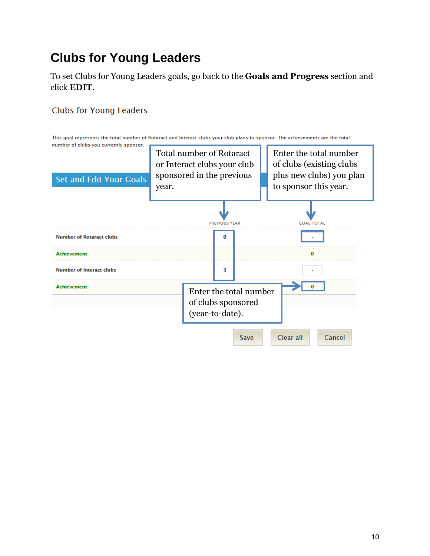## <span id="page-9-0"></span>**Clubs for Young Leaders**

To set Clubs for Young Leaders goals, go back to the **Goals and Progress** section and click **EDIT**.

### **Clubs for Young Leaders**

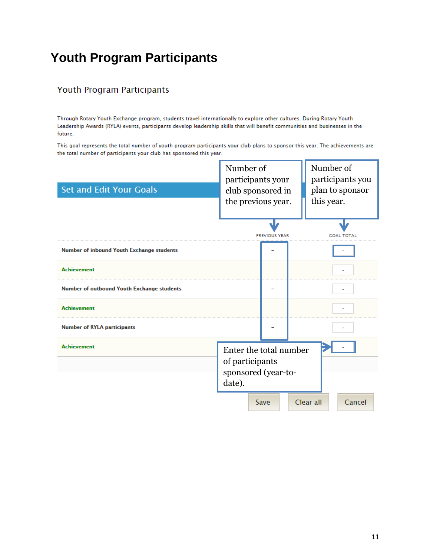## <span id="page-10-0"></span>**Youth Program Participants**

### Youth Program Participants

Through Rotary Youth Exchange program, students travel internationally to explore other cultures. During Rotary Youth Leadership Awards (RYLA) events, participants develop leadership skills that will benefit communities and businesses in the future.

This goal represents the total number of youth program participants your club plans to sponsor this year. The achievements are the total number of participants your club has sponsored this year.

<span id="page-10-1"></span>

| <b>Set and Edit Your Goals</b>                    | Number of                 | participants your<br>club sponsored in<br>the previous year. |           | Number of<br>participants you<br>plan to sponsor<br>this year. |
|---------------------------------------------------|---------------------------|--------------------------------------------------------------|-----------|----------------------------------------------------------------|
|                                                   |                           | <b>PREVIOUS YEAR</b>                                         |           | GOAL TOTAL                                                     |
| <b>Number of inbound Youth Exchange students</b>  |                           |                                                              |           |                                                                |
| <b>Achievement</b>                                |                           |                                                              |           |                                                                |
| <b>Number of outbound Youth Exchange students</b> |                           |                                                              |           |                                                                |
| <b>Achievement</b>                                |                           |                                                              |           |                                                                |
| <b>Number of RYLA participants</b>                |                           |                                                              |           |                                                                |
| <b>Achievement</b>                                | of participants<br>date). | Enter the total number<br>sponsored (year-to-                |           |                                                                |
|                                                   |                           | Save                                                         | Clear all | Cancel                                                         |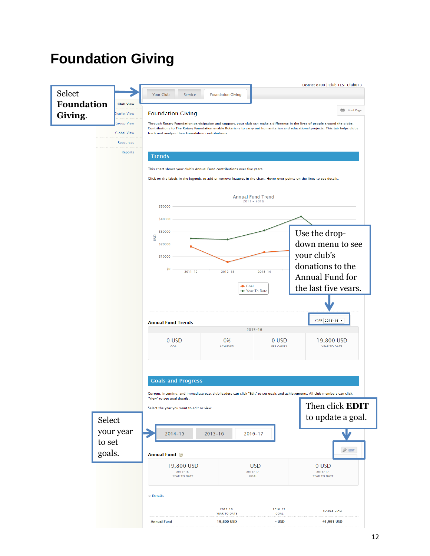# **Foundation Giving**

|                   |                                  |                                                                                                                           |                                     |                            | District 8100   Club TEST Club013                                                                                                                                                                                                                                 |  |  |
|-------------------|----------------------------------|---------------------------------------------------------------------------------------------------------------------------|-------------------------------------|----------------------------|-------------------------------------------------------------------------------------------------------------------------------------------------------------------------------------------------------------------------------------------------------------------|--|--|
| Select            |                                  | Your Club<br>Service                                                                                                      | <b>Foundation Giving</b>            |                            |                                                                                                                                                                                                                                                                   |  |  |
| <b>Foundation</b> | <b>Club View</b>                 |                                                                                                                           |                                     |                            | Print Page                                                                                                                                                                                                                                                        |  |  |
| Giving.           | <b>District View</b>             | <b>Foundation Giving</b>                                                                                                  |                                     |                            |                                                                                                                                                                                                                                                                   |  |  |
|                   | Group View<br><b>Global View</b> | track and analyze their Foundation contributions.                                                                         |                                     |                            | Through Rotary Foundation participation and support, your club can make a difference in the lives of people around the globe.<br>Contributions to The Rotary Foundation enable Rotarians to carry out humanitarian and educational projects. This tab helps clubs |  |  |
|                   | <b>Resources</b>                 |                                                                                                                           |                                     |                            |                                                                                                                                                                                                                                                                   |  |  |
|                   | Reports                          |                                                                                                                           |                                     |                            |                                                                                                                                                                                                                                                                   |  |  |
|                   |                                  | <b>Trends</b>                                                                                                             |                                     |                            |                                                                                                                                                                                                                                                                   |  |  |
|                   |                                  | This chart shows your club's Annual Fund contributions over five years.                                                   |                                     |                            |                                                                                                                                                                                                                                                                   |  |  |
|                   |                                  | Click on the labels in the legends to add or remove features in the chart. Hover over points on the lines to see details. |                                     |                            |                                                                                                                                                                                                                                                                   |  |  |
|                   |                                  |                                                                                                                           | <b>Annual Fund Trend</b>            |                            |                                                                                                                                                                                                                                                                   |  |  |
|                   |                                  | \$50000                                                                                                                   | $2011 - 2016$                       |                            |                                                                                                                                                                                                                                                                   |  |  |
|                   |                                  | \$40000                                                                                                                   |                                     |                            |                                                                                                                                                                                                                                                                   |  |  |
|                   |                                  | \$30000                                                                                                                   |                                     |                            | Use the drop-                                                                                                                                                                                                                                                     |  |  |
|                   |                                  | SD<br>\$20000                                                                                                             |                                     |                            | down menu to see                                                                                                                                                                                                                                                  |  |  |
|                   |                                  | \$10000                                                                                                                   | your club's                         |                            |                                                                                                                                                                                                                                                                   |  |  |
|                   |                                  | \$0                                                                                                                       |                                     |                            |                                                                                                                                                                                                                                                                   |  |  |
|                   |                                  | $2011 - 12$                                                                                                               | donations to the<br>Annual Fund for |                            |                                                                                                                                                                                                                                                                   |  |  |
|                   |                                  |                                                                                                                           | <b>Coal</b>                         |                            | the last five vears.                                                                                                                                                                                                                                              |  |  |
|                   |                                  |                                                                                                                           | ← Year To Date                      |                            |                                                                                                                                                                                                                                                                   |  |  |
|                   |                                  |                                                                                                                           |                                     |                            |                                                                                                                                                                                                                                                                   |  |  |
|                   |                                  | <b>Annual Fund Trends</b>                                                                                                 |                                     |                            | YEAR 2015-16 ▼                                                                                                                                                                                                                                                    |  |  |
|                   |                                  |                                                                                                                           | $2015 - 16$                         |                            |                                                                                                                                                                                                                                                                   |  |  |
|                   |                                  | 0 USD<br><b>GOAL</b>                                                                                                      | 0%<br><b>ACHIEVED</b>               | 0 USD<br><b>PER CAPITA</b> | 19,800 USD<br>YEAR TO DATE                                                                                                                                                                                                                                        |  |  |
|                   |                                  |                                                                                                                           |                                     |                            |                                                                                                                                                                                                                                                                   |  |  |
|                   |                                  |                                                                                                                           |                                     |                            |                                                                                                                                                                                                                                                                   |  |  |
|                   |                                  | <b>Goals and Progress</b>                                                                                                 |                                     |                            |                                                                                                                                                                                                                                                                   |  |  |
|                   |                                  |                                                                                                                           |                                     |                            | Current, incoming, and immediate past club leaders can click "Edit" to set goals and achievements. All club members can click                                                                                                                                     |  |  |
|                   |                                  | "View" to see goal details.                                                                                               |                                     |                            | Then click <b>EDIT</b>                                                                                                                                                                                                                                            |  |  |
|                   |                                  | Select the year you want to edit or view.                                                                                 |                                     |                            | to update a goal.                                                                                                                                                                                                                                                 |  |  |
|                   | Select                           |                                                                                                                           |                                     |                            |                                                                                                                                                                                                                                                                   |  |  |
|                   | your year                        | $2014 - 15$                                                                                                               | $2015 - 16$<br>$2016 - 17$          |                            |                                                                                                                                                                                                                                                                   |  |  |
|                   | to set                           |                                                                                                                           |                                     |                            | $\mathscr{D}$ EDIT                                                                                                                                                                                                                                                |  |  |
|                   | goals.                           | <b>Annual Fund</b> ②                                                                                                      |                                     |                            |                                                                                                                                                                                                                                                                   |  |  |
|                   |                                  | 19,800 USD<br>$2015 - 16$                                                                                                 | - USD<br>$2016 - 17$                |                            | 0 USD<br>$2016 - 17$                                                                                                                                                                                                                                              |  |  |
|                   |                                  | YEAR TO DATE                                                                                                              | GOAL                                |                            | YEAR TO DATE                                                                                                                                                                                                                                                      |  |  |
|                   |                                  | $\triangledown$ Details                                                                                                   |                                     |                            |                                                                                                                                                                                                                                                                   |  |  |
|                   |                                  |                                                                                                                           |                                     |                            |                                                                                                                                                                                                                                                                   |  |  |
|                   |                                  |                                                                                                                           | $2015 - 16$<br>YEAR TO DATE         | $2016 - 17$<br><b>GOAL</b> | <b>5-YEAR HIGH</b>                                                                                                                                                                                                                                                |  |  |
|                   |                                  | <b>Annual Fund</b>                                                                                                        | 19,800 USD                          | - USD                      | 41,991 USD                                                                                                                                                                                                                                                        |  |  |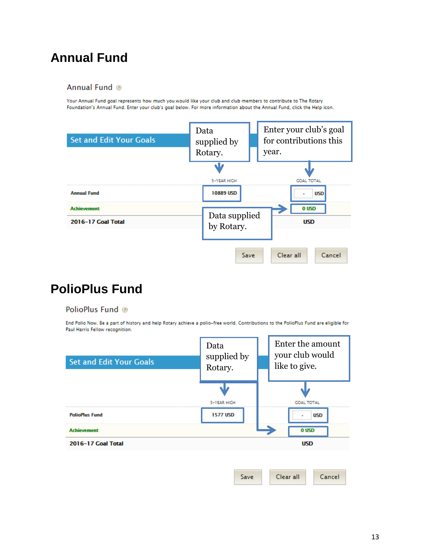## <span id="page-12-2"></span><span id="page-12-0"></span>**Annual Fund**

### <span id="page-12-1"></span>Annual Fund ®

Your Annual Fund goal represents how much you would like your club and club members to contribute to The Rotary Foundation's Annual Fund. Enter your club's goal below. For more information about the Annual Fund, click the Help icon.



## **PolioPlus Fund**

### PolioPlus Fund @

End Polio Now. Be a part of history and help Rotary achieve a polio-free world. Contributions to the PolioPlus Fund are eligible for Paul Harris Fellow recognition.